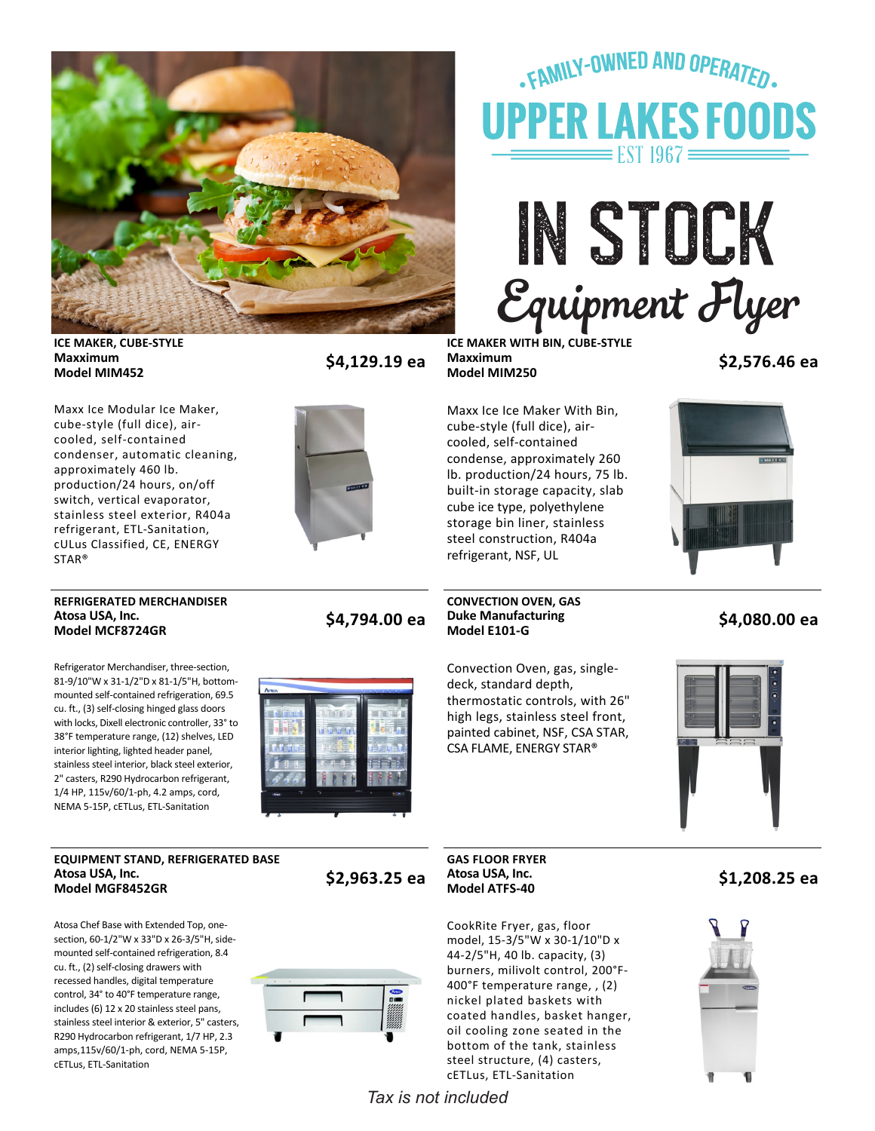

# .FAMILY-OWNED AND OPERATED. **UPPER LAKES FOODS** EST  $1967 \equiv$

IN STOCK *05/25/2022* Equipment Flyer

**ICE MAKER, CUBE‐STYLE Maxximum**

**Model MIM452 \$4,129.19 ea**

**ICE MAKER WITH BIN, CUBE‐STYLE Maxximum**

**Model MIM250 \$2,576.46 ea**

Maxx Ice Modular Ice Maker, cube‐style (full dice), air‐ cooled, self‐contained condenser, automatic cleaning, approximately 460 lb. production/24 hours, on/off switch, vertical evaporator, stainless steel exterior, R404a refrigerant, ETL‐Sanitation, cULus Classified, CE, ENERGY STAR®



Maxx Ice Ice Maker With Bin, cube‐style (full dice), air‐ cooled, self‐contained condense, approximately 260 lb. production/24 hours, 75 lb. built‐in storage capacity, slab cube ice type, polyethylene storage bin liner, stainless steel construction, R404a refrigerant, NSF, UL



#### **REFRIGERATED MERCHANDISER Atosa USA, Inc.**

Refrigerator Merchandiser, three‐section, 81‐9/10"W x 31‐1/2"D x 81‐1/5"H, bottom‐ mounted self‐contained refrigeration, 69.5 cu. ft., (3) self‐closing hinged glass doors with locks, Dixell electronic controller, 33° to 38°F temperature range, (12) shelves, LED interior lighting, lighted header panel, stainless steel interior, black steel exterior, 2" casters, R290 Hydrocarbon refrigerant, 1/4 HP, 115v/60/1‐ph, 4.2 amps, cord, NEMA 5‐15P, cETLus, ETL‐Sanitation

#### **EQUIPMENT STAND, REFRIGERATED BASE Atosa USA, Inc. Model MGF8452GR \$2,963.25 ea**

Atosa Chef Base with Extended Top, one‐ section, 60‐1/2"W x 33"D x 26‐3/5"H, side‐ mounted self‐contained refrigeration, 8.4 cu. ft., (2) self‐closing drawers with recessed handles, digital temperature control, 34° to 40°F temperature range, includes (6) 12 x 20 stainless steel pans, stainless steel interior & exterior, 5" casters, R290 Hydrocarbon refrigerant, 1/7 HP, 2.3 amps,115v/60/1‐ph, cord, NEMA 5‐15P, cETLus, ETL‐Sanitation

**Model MCF8724GR \$4,794.00 ea**



# **CONVECTION OVEN, GAS Duke Manufacturing**

Convection Oven, gas, single‐ deck, standard depth, thermostatic controls, with 26" high legs, stainless steel front, painted cabinet, NSF, CSA STAR, CSA FLAME, ENERGY STAR®





## **GAS FLOOR FRYER Atosa USA, Inc.**

*Tax is not included*

CookRite Fryer, gas, floor model, 15‐3/5"W x 30‐1/10"D x 44‐2/5"H, 40 lb. capacity, (3) burners, milivolt control, 200°F‐ 400°F temperature range, , (2) nickel plated baskets with coated handles, basket hanger, oil cooling zone seated in the bottom of the tank, stainless steel structure, (4) casters, cETLus, ETL‐Sanitation

**Model ATFS‐40 \$1,208.25 ea**



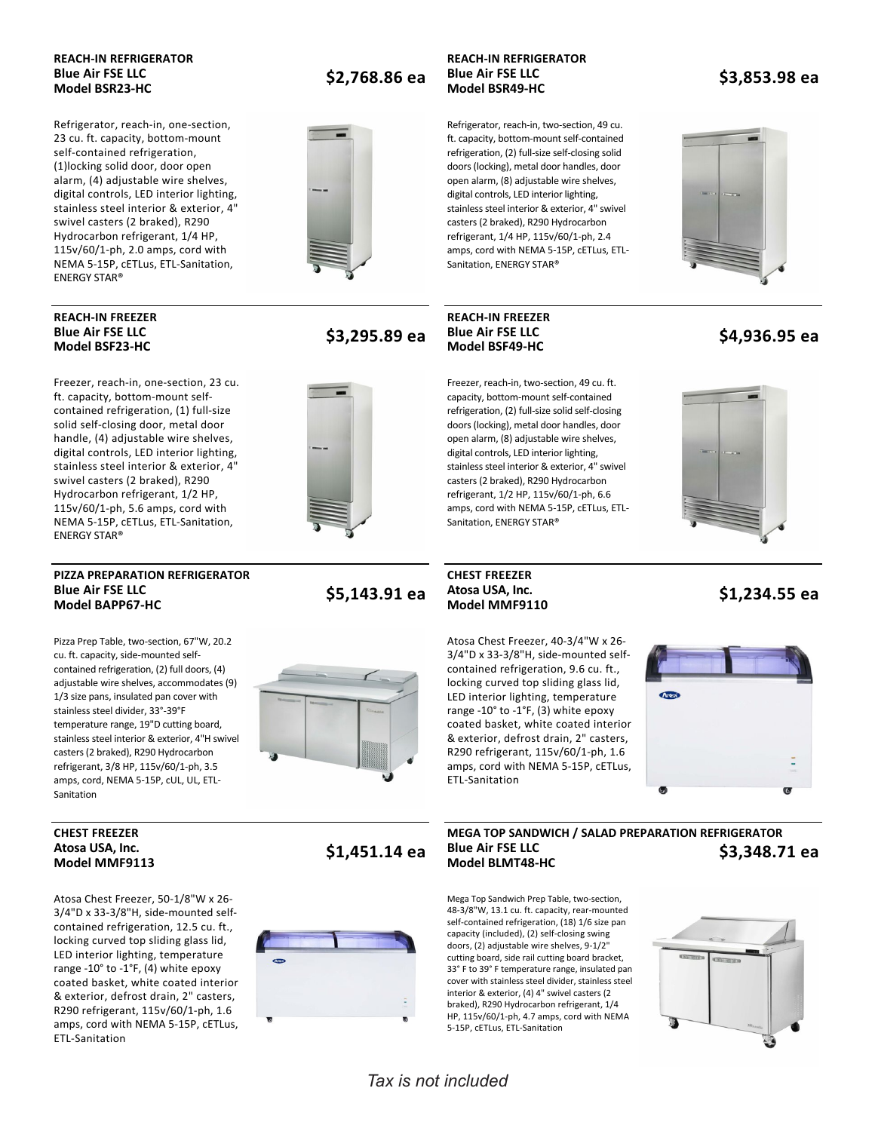### **REACH‐IN REFRIGERATOR Blue Air FSE LLC**

Refrigerator, reach‐in, one‐section, 23 cu. ft. capacity, bottom‐mount self‐contained refrigeration, (1)locking solid door, door open alarm, (4) adjustable wire shelves, digital controls, LED interior lighting, stainless steel interior & exterior, 4" swivel casters (2 braked), R290 Hydrocarbon refrigerant, 1/4 HP, 115v/60/1‐ph, 2.0 amps, cord with NEMA 5‐15P, cETLus, ETL‐Sanitation, ENERGY STAR®

### **REACH‐IN FREEZER Blue Air FSE LLC**

Freezer, reach‐in, one‐section, 23 cu. ft. capacity, bottom‐mount self‐ contained refrigeration, (1) full‐size solid self‐closing door, metal door handle, (4) adjustable wire shelves, digital controls, LED interior lighting, stainless steel interior & exterior, 4" swivel casters (2 braked), R290 Hydrocarbon refrigerant, 1/2 HP, 115v/60/1‐ph, 5.6 amps, cord with NEMA 5‐15P, cETLus, ETL‐Sanitation, ENERGY STAR®

#### **PIZZA PREPARATION REFRIGERATOR Blue Air FSE LLC**

Pizza Prep Table, two‐section, 67"W, 20.2 cu. ft. capacity, side‐mounted self‐ contained refrigeration, (2) full doors, (4) adjustable wire shelves, accommodates (9) 1/3 size pans, insulated pan cover with stainless steel divider, 33°‐39°F temperature range, 19"D cutting board, stainless steel interior & exterior, 4"H swivel casters (2 braked), R290 Hydrocarbon refrigerant, 3/8 HP, 115v/60/1‐ph, 3.5 amps, cord, NEMA 5‐15P, cUL, UL, ETL‐ Sanitation



**Model MMF9113 \$1,451.14 ea**

### **CHEST FREEZER Atosa USA, Inc.**

Atosa Chest Freezer, 50‐1/8"W x 26‐ 3/4"D x 33‐3/8"H, side‐mounted self‐ contained refrigeration, 12.5 cu. ft., locking curved top sliding glass lid, LED interior lighting, temperature range ‐10° to ‐1°F, (4) white epoxy coated basket, white coated interior & exterior, defrost drain, 2" casters, R290 refrigerant, 115v/60/1‐ph, 1.6 amps, cord with NEMA 5‐15P, cETLus, ETL‐Sanitation

# **Model BSR23‐HC \$2,768.86 ea**



## **REACH‐IN REFRIGERATOR Blue Air FSE LLC**

## **REACH‐IN FREEZER Blue Air FSE LLC**

Freezer, reach‐in, two‐section, 49 cu. ft. capacity, bottom‐mount self‐contained refrigeration, (2) full‐size solid self‐closing doors (locking), metal door handles, door open alarm, (8) adjustable wire shelves, digital controls, LED interior lighting, stainless steel interior & exterior, 4" swivel casters (2 braked), R290 Hydrocarbon refrigerant, 1/2 HP, 115v/60/1‐ph, 6.6 amps, cord with NEMA 5‐15P, cETLus, ETL‐ Sanitation, ENERGY STAR®

Atosa Chest Freezer, 40‐3/4"W x 26‐ 3/4"D x 33‐3/8"H, side‐mounted self‐ contained refrigeration, 9.6 cu. ft., locking curved top sliding glass lid, LED interior lighting, temperature range ‐10° to ‐1°F, (3) white epoxy coated basket, white coated interior & exterior, defrost drain, 2" casters, R290 refrigerant, 115v/60/1‐ph, 1.6 amps, cord with NEMA 5‐15P, cETLus,

ETL‐Sanitation

# **Model BSF49‐HC \$4,936.95 ea**



#### **Model MMF9110 \$1,234.55 ea**



#### **MEGA TOP SANDWICH / SALAD PREPARATION REFRIGERATOR Blue Air FSE LLC Model BLMT48‐HC \$3,348.71 ea**

Mega Top Sandwich Prep Table, two‐section, 48‐3/8"W, 13.1 cu. ft. capacity, rear‐mounted self-contained refrigeration, (18) 1/6 size pan capacity (included), (2) self‐closing swing doors, (2) adjustable wire shelves, 9‐1/2" cutting board, side rail cutting board bracket, 33° F to 39° F temperature range, insulated pan cover with stainless steel divider, stainless steel interior & exterior, (4) 4" swivel casters (2 braked), R290 Hydrocarbon refrigerant, 1/4 HP, 115v/60/1‐ph, 4.7 amps, cord with NEMA 5‐15P, cETLus, ETL‐Sanitation



Refrigerator, reach‐in, two‐section, 49 cu. ft. capacity, bottom‐mount self‐contained refrigeration, (2) full‐size self‐closing solid doors (locking), metal door handles, door open alarm, (8) adjustable wire shelves, digital controls, LED interior lighting, stainless steel interior & exterior, 4" swivel casters (2 braked), R290 Hydrocarbon refrigerant, 1/4 HP, 115v/60/1‐ph, 2.4 amps, cord with NEMA 5‐15P, cETLus, ETL‐ Sanitation, ENERGY STAR®

**Model BSR49‐HC \$3,853.98 ea**





**Model BSF23‐HC \$3,295.89 ea**

#### **Model BAPP67‐HC \$5,143.91 ea CHEST FREEZER Atosa USA, Inc.**

*Tax is not included*